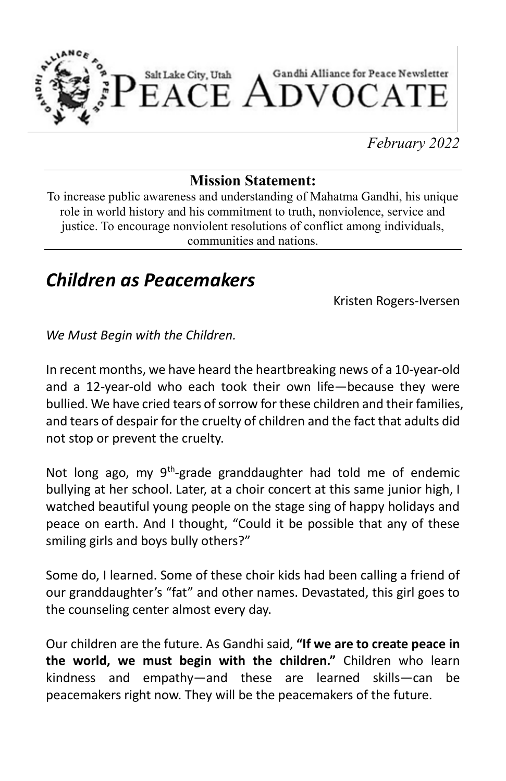

*February 2022*

#### **Mission Statement:**

To increase public awareness and understanding of Mahatma Gandhi, his unique role in world history and his commitment to truth, nonviolence, service and justice. To encourage nonviolent resolutions of conflict among individuals, communities and nations.

### *Children as Peacemakers*

Kristen Rogers-Iversen

*We Must Begin with the Children.*

In recent months, we have heard the heartbreaking news of a 10-year-old and a 12-year-old who each took their own life—because they were bullied. We have cried tears of sorrow for these children and their families, and tears of despair for the cruelty of children and the fact that adults did not stop or prevent the cruelty.

Not long ago, my 9<sup>th</sup>-grade granddaughter had told me of endemic bullying at her school. Later, at a choir concert at this same junior high, I watched beautiful young people on the stage sing of happy holidays and peace on earth. And I thought, "Could it be possible that any of these smiling girls and boys bully others?"

Some do, I learned. Some of these choir kids had been calling a friend of our granddaughter's "fat" and other names. Devastated, this girl goes to the counseling center almost every day.

Our children are the future. As Gandhi said, **"If we are to create peace in the world, we must begin with the children."** Children who learn kindness and empathy—and these are learned skills—can be peacemakers right now. They will be the peacemakers of the future.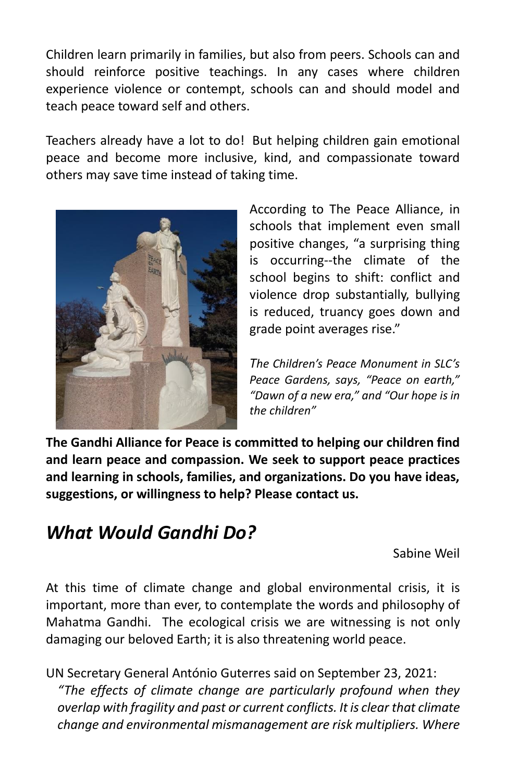Children learn primarily in families, but also from peers. Schools can and should reinforce positive teachings. In any cases where children experience violence or contempt, schools can and should model and teach peace toward self and others.

Teachers already have a lot to do! But helping children gain emotional peace and become more inclusive, kind, and compassionate toward others may save time instead of taking time.



According to The Peace Alliance, in schools that implement even small positive changes, "a surprising thing is occurring--the climate of the school begins to shift: conflict and violence drop substantially, bullying is reduced, truancy goes down and grade point averages rise."

*The Children's Peace Monument in SLC's Peace Gardens, says, "Peace on earth," "Dawn of a new era," and "Our hope is in the children"*

**The Gandhi Alliance for Peace is committed to helping our children find and learn peace and compassion. We seek to support peace practices and learning in schools, families, and organizations. Do you have ideas, suggestions, or willingness to help? Please contact us.**

## *What Would Gandhi Do?*

Sabine Weil

At this time of climate change and global environmental crisis, it is important, more than ever, to contemplate the words and philosophy of Mahatma Gandhi. The ecological crisis we are witnessing is not only damaging our beloved Earth; it is also threatening world peace.

UN Secretary General António Guterres said on September 23, 2021: *"The effects of climate change are particularly profound when they overlap with fragility and past or current conflicts. It is clear that climate change and environmental mismanagement are risk multipliers. Where*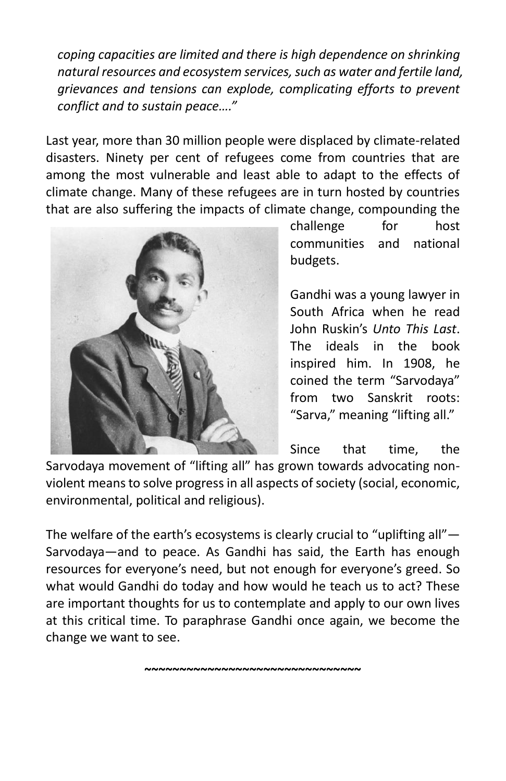*coping capacities are limited and there is high dependence on shrinking natural resources and ecosystem services, such as water and fertile land, grievances and tensions can explode, complicating efforts to prevent conflict and to sustain peace…."*

Last year, more than 30 million people were displaced by climate-related disasters. Ninety per cent of refugees come from countries that are among the most vulnerable and least able to adapt to the effects of climate change. Many of these refugees are in turn hosted by countries that are also suffering the impacts of climate change, compounding the



challenge for host communities and national budgets.

Gandhi was a young lawyer in South Africa when he read John Ruskin's *Unto This Last*. The ideals in the book inspired him. In 1908, he coined the term "Sarvodaya" from two Sanskrit roots: "Sarva," meaning "lifting all."

Since that time, the Sarvodaya movement of "lifting all" has grown towards advocating nonviolent means to solve progress in all aspects of society (social, economic, environmental, political and religious).

The welfare of the earth's ecosystems is clearly crucial to "uplifting all"— Sarvodaya—and to peace. As Gandhi has said, the Earth has enough resources for everyone's need, but not enough for everyone's greed. So what would Gandhi do today and how would he teach us to act? These are important thoughts for us to contemplate and apply to our own lives at this critical time. To paraphrase Gandhi once again, we become the change we want to see.

~~~~~~~~~~~~~~~~~~~~~~~~~~~~~<br>~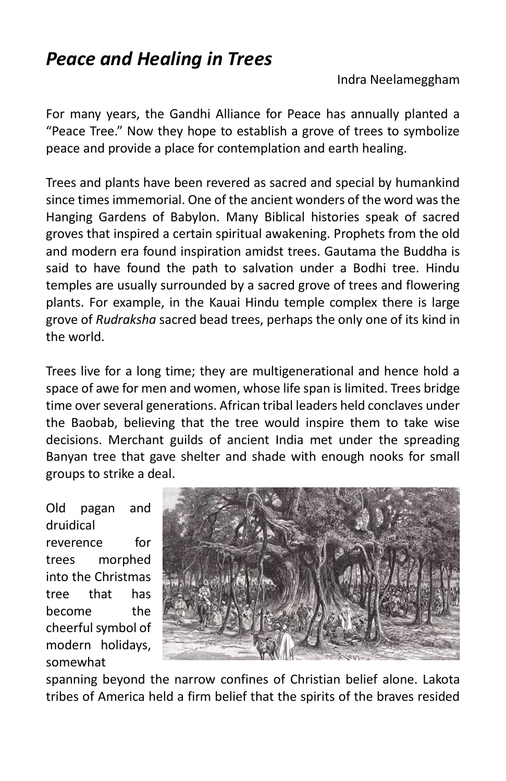### *Peace and Healing in Trees*

Indra Neelameggham

For many years, the Gandhi Alliance for Peace has annually planted a "Peace Tree." Now they hope to establish a grove of trees to symbolize peace and provide a place for contemplation and earth healing.

Trees and plants have been revered as sacred and special by humankind since times immemorial. One of the ancient wonders of the word was the Hanging Gardens of Babylon. Many Biblical histories speak of sacred groves that inspired a certain spiritual awakening. Prophets from the old and modern era found inspiration amidst trees. Gautama the Buddha is said to have found the path to salvation under a Bodhi tree. Hindu temples are usually surrounded by a sacred grove of trees and flowering plants. For example, in the Kauai Hindu temple complex there is large grove of *Rudraksha* sacred bead trees, perhaps the only one of its kind in the world.

Trees live for a long time; they are multigenerational and hence hold a space of awe for men and women, whose life span is limited. Trees bridge time over several generations. African tribal leaders held conclaves under the Baobab, believing that the tree would inspire them to take wise decisions. Merchant guilds of ancient India met under the spreading Banyan tree that gave shelter and shade with enough nooks for small groups to strike a deal.

Old pagan and druidical reverence for trees morphed into the Christmas tree that has become the cheerful symbol of modern holidays, somewhat



spanning beyond the narrow confines of Christian belief alone. Lakota tribes of America held a firm belief that the spirits of the braves resided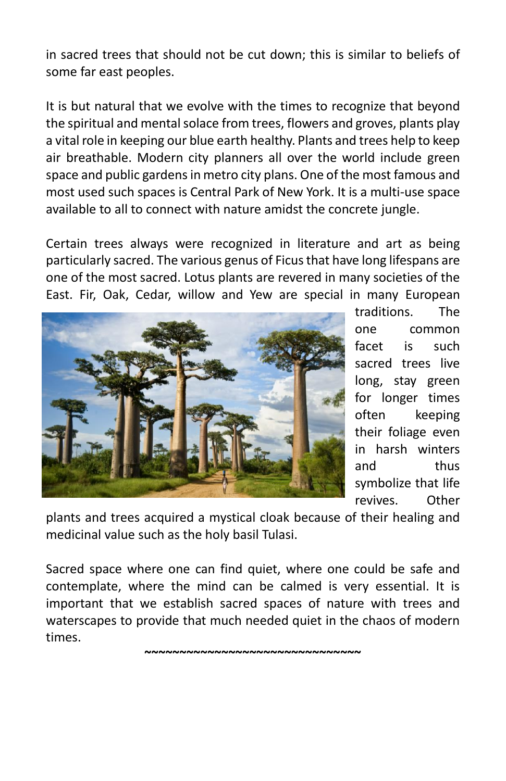in sacred trees that should not be cut down; this is similar to beliefs of some far east peoples.

It is but natural that we evolve with the times to recognize that beyond the spiritual and mental solace from trees, flowers and groves, plants play a vital role in keeping our blue earth healthy. Plants and trees help to keep air breathable. Modern city planners all over the world include green space and public gardens in metro city plans. One of the most famous and most used such spaces is Central Park of New York. It is a multi-use space available to all to connect with nature amidst the concrete jungle.

Certain trees always were recognized in literature and art as being particularly sacred. The various genus of Ficus that have long lifespans are one of the most sacred. Lotus plants are revered in many societies of the East. Fir, Oak, Cedar, willow and Yew are special in many European



traditions. The one common facet is such sacred trees live long, stay green for longer times often keeping their foliage even in harsh winters and thus symbolize that life revives. Other

plants and trees acquired a mystical cloak because of their healing and medicinal value such as the holy basil Tulasi.

Sacred space where one can find quiet, where one could be safe and contemplate, where the mind can be calmed is very essential. It is important that we establish sacred spaces of nature with trees and waterscapes to provide that much needed quiet in the chaos of modern times.

**~~~~~~~~~~~~~~~~~~~~~~~~~~~~~~~**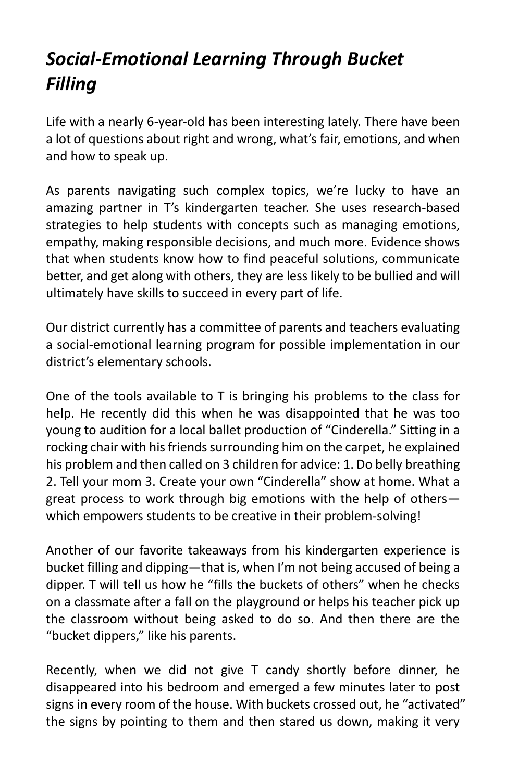# *Social-Emotional Learning Through Bucket Filling*

Life with a nearly 6-year-old has been interesting lately. There have been a lot of questions about right and wrong, what's fair, emotions, and when and how to speak up.

As parents navigating such complex topics, we're lucky to have an amazing partner in T's kindergarten teacher. She uses research-based strategies to help students with concepts such as managing emotions, empathy, making responsible decisions, and much more. Evidence shows that when students know how to find peaceful solutions, communicate better, and get along with others, they are less likely to be bullied and will ultimately have skills to succeed in every part of life.

Our district currently has a committee of parents and teachers evaluating a social-emotional learning program for possible implementation in our district's elementary schools.

One of the tools available to T is bringing his problems to the class for help. He recently did this when he was disappointed that he was too young to audition for a local ballet production of "Cinderella." Sitting in a rocking chair with his friends surrounding him on the carpet, he explained his problem and then called on 3 children for advice: 1. Do belly breathing 2. Tell your mom 3. Create your own "Cinderella" show at home. What a great process to work through big emotions with the help of others which empowers students to be creative in their problem-solving!

Another of our favorite takeaways from his kindergarten experience is bucket filling and dipping—that is, when I'm not being accused of being a dipper. T will tell us how he "fills the buckets of others" when he checks on a classmate after a fall on the playground or helps his teacher pick up the classroom without being asked to do so. And then there are the "bucket dippers," like his parents.

Recently, when we did not give T candy shortly before dinner, he disappeared into his bedroom and emerged a few minutes later to post signs in every room of the house. With buckets crossed out, he "activated" the signs by pointing to them and then stared us down, making it very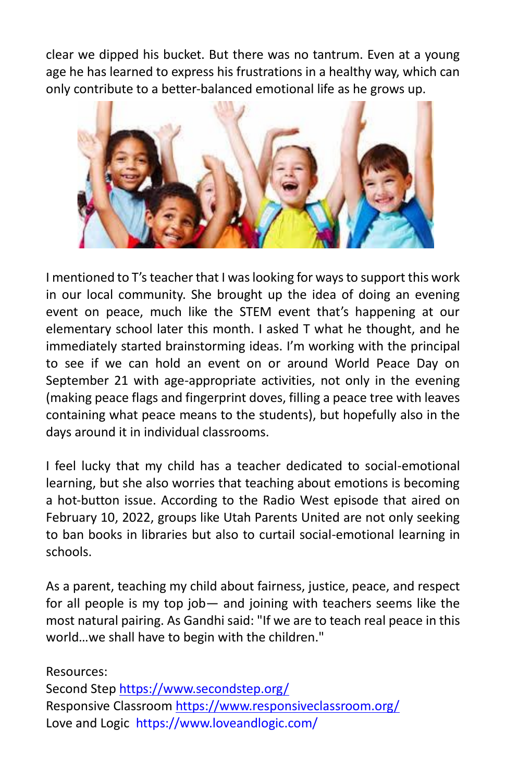clear we dipped his bucket. But there was no tantrum. Even at a young age he has learned to express his frustrations in a healthy way, which can only contribute to a better-balanced emotional life as he grows up.



I mentioned to T's teacher that I was looking for ways to support this work in our local community. She brought up the idea of doing an evening event on peace, much like the STEM event that's happening at our elementary school later this month. I asked T what he thought, and he immediately started brainstorming ideas. I'm working with the principal to see if we can hold an event on or around World Peace Day on September 21 with age-appropriate activities, not only in the evening (making peace flags and fingerprint doves, filling a peace tree with leaves containing what peace means to the students), but hopefully also in the days around it in individual classrooms.

I feel lucky that my child has a teacher dedicated to social-emotional learning, but she also worries that teaching about emotions is becoming a hot-button issue. According to the Radio West episode that aired on February 10, 2022, groups like Utah Parents United are not only seeking to ban books in libraries but also to curtail social-emotional learning in schools.

As a parent, teaching my child about fairness, justice, peace, and respect for all people is my top job— and joining with teachers seems like the most natural pairing. As Gandhi said: "If we are to teach real peace in this world…we shall have to begin with the children."

Resources: Second Step<https://www.secondstep.org/> Responsive Classroo[m https://www.responsiveclassroom.org/](https://www.responsiveclassroom.org/) Love and Logic <https://www.loveandlogic.com/>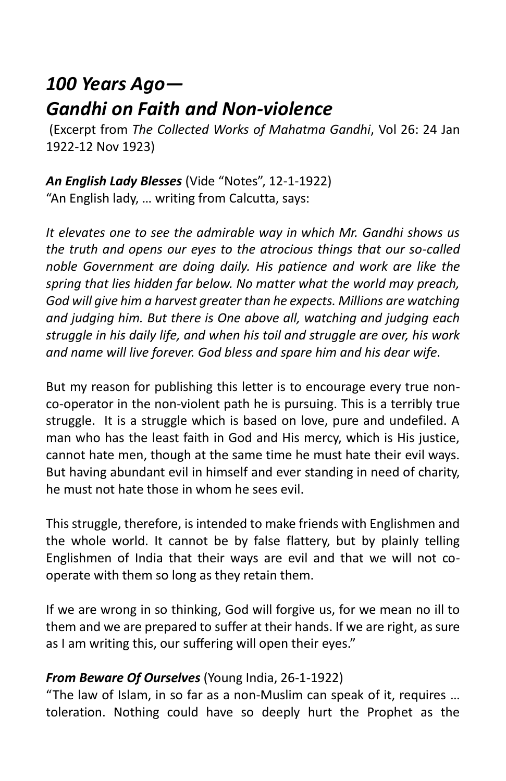## *100 Years Ago— Gandhi on Faith and Non-violence*

(Excerpt from *The Collected Works of Mahatma Gandhi*, Vol 26: 24 Jan 1922-12 Nov 1923)

*An English Lady Blesses* (Vide "Notes", 12-1-1922) "An English lady, … writing from Calcutta, says:

*It elevates one to see the admirable way in which Mr. Gandhi shows us the truth and opens our eyes to the atrocious things that our so-called noble Government are doing daily. His patience and work are like the spring that lies hidden far below. No matter what the world may preach, God will give him a harvest greater than he expects. Millions are watching and judging him. But there is One above all, watching and judging each struggle in his daily life, and when his toil and struggle are over, his work and name will live forever. God bless and spare him and his dear wife.*

But my reason for publishing this letter is to encourage every true nonco-operator in the non-violent path he is pursuing. This is a terribly true struggle. It is a struggle which is based on love, pure and undefiled. A man who has the least faith in God and His mercy, which is His justice, cannot hate men, though at the same time he must hate their evil ways. But having abundant evil in himself and ever standing in need of charity, he must not hate those in whom he sees evil.

This struggle, therefore, is intended to make friends with Englishmen and the whole world. It cannot be by false flattery, but by plainly telling Englishmen of India that their ways are evil and that we will not cooperate with them so long as they retain them.

If we are wrong in so thinking, God will forgive us, for we mean no ill to them and we are prepared to suffer at their hands. If we are right, as sure as I am writing this, our suffering will open their eyes."

#### *From Beware Of Ourselves* (Young India, 26-1-1922)

"The law of Islam, in so far as a non-Muslim can speak of it, requires … toleration. Nothing could have so deeply hurt the Prophet as the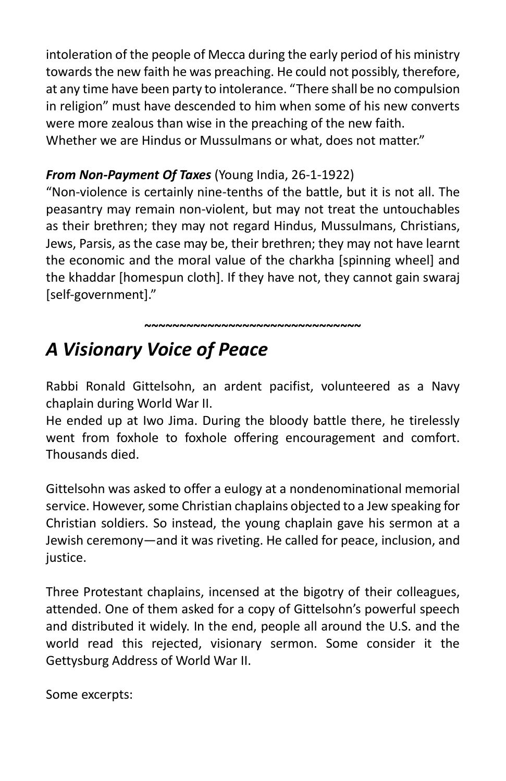intoleration of the people of Mecca during the early period of his ministry towards the new faith he was preaching. He could not possibly, therefore, at any time have been party to intolerance. "There shall be no compulsion in religion" must have descended to him when some of his new converts were more zealous than wise in the preaching of the new faith. Whether we are Hindus or Mussulmans or what, does not matter."

#### *From Non-Payment Of Taxes* (Young India, 26-1-1922)

"Non-violence is certainly nine-tenths of the battle, but it is not all. The peasantry may remain non-violent, but may not treat the untouchables as their brethren; they may not regard Hindus, Mussulmans, Christians, Jews, Parsis, as the case may be, their brethren; they may not have learnt the economic and the moral value of the charkha [spinning wheel] and the khaddar [homespun cloth]. If they have not, they cannot gain swaraj [self-government]."

~~~~~~~~~~~~~~~~~~~~~~~~~~~~~<br>~

## *A Visionary Voice of Peace*

Rabbi Ronald Gittelsohn, an ardent pacifist, volunteered as a Navy chaplain during World War II.

He ended up at Iwo Jima. During the bloody battle there, he tirelessly went from foxhole to foxhole offering encouragement and comfort. Thousands died.

Gittelsohn was asked to offer a eulogy at a nondenominational memorial service. However, some Christian chaplains objected to a Jew speaking for Christian soldiers. So instead, the young chaplain gave his sermon at a Jewish ceremony—and it was riveting. He called for peace, inclusion, and justice.

Three Protestant chaplains, incensed at the bigotry of their colleagues, attended. One of them asked for a copy of Gittelsohn's powerful speech and distributed it widely. In the end, people all around the U.S. and the world read this rejected, visionary sermon. Some consider it the Gettysburg Address of World War II.

Some excerpts: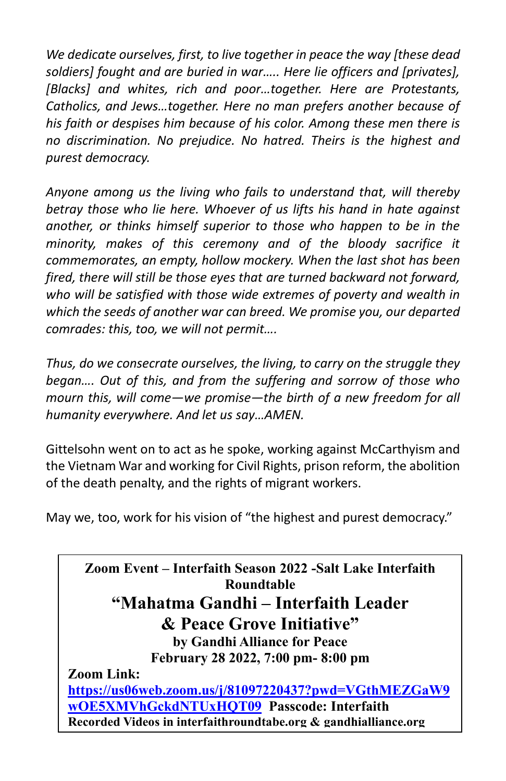*We dedicate ourselves, first, to live together in peace the way [these dead soldiers] fought and are buried in war….. Here lie officers and [privates], [Blacks] and whites, rich and poor…together. Here are Protestants, Catholics, and Jews…together. Here no man prefers another because of his faith or despises him because of his color. Among these men there is no discrimination. No prejudice. No hatred. Theirs is the highest and purest democracy.*

*Anyone among us the living who fails to understand that, will thereby betray those who lie here. Whoever of us lifts his hand in hate against another, or thinks himself superior to those who happen to be in the minority, makes of this ceremony and of the bloody sacrifice it commemorates, an empty, hollow mockery. When the last shot has been fired, there will still be those eyes that are turned backward not forward, who will be satisfied with those wide extremes of poverty and wealth in which the seeds of another war can breed. We promise you, our departed comrades: this, too, we will not permit….*

*Thus, do we consecrate ourselves, the living, to carry on the struggle they began…. Out of this, and from the suffering and sorrow of those who mourn this, will come—we promise—the birth of a new freedom for all humanity everywhere. And let us say…AMEN.*

Gittelsohn went on to act as he spoke, working against McCarthyism and the Vietnam War and working for Civil Rights, prison reform, the abolition of the death penalty, and the rights of migrant workers.

May we, too, work for his vision of "the highest and purest democracy."

**Zoom Event – Interfaith Season 2022 -Salt Lake Interfaith Roundtable "Mahatma Gandhi – Interfaith Leader & Peace Grove Initiative" by Gandhi Alliance for Peace February 28 2022, 7:00 pm- 8:00 pm Zoom Link: [https://us06web.zoom.us/j/81097220437?pwd=VGthMEZGaW9](https://us06web.zoom.us/j/81097220437?pwd=VGthMEZGaW9wOE5XMVhGckdNTUxHQT09) [wOE5XMVhGckdNTUxHQT09](https://us06web.zoom.us/j/81097220437?pwd=VGthMEZGaW9wOE5XMVhGckdNTUxHQT09) Passcode: Interfaith Recorded Videos in interfaithroundtabe.org & gandhialliance.org**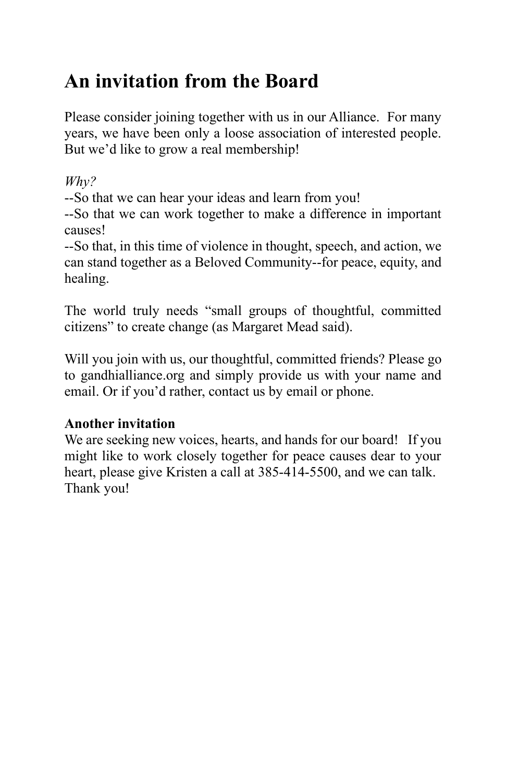# **An invitation from the Board**

Please consider joining together with us in our Alliance. For many years, we have been only a loose association of interested people. But we'd like to grow a real membership!

*Why?*

--So that we can hear your ideas and learn from you!

--So that we can work together to make a difference in important causes!

--So that, in this time of violence in thought, speech, and action, we can stand together as a Beloved Community--for peace, equity, and healing.

The world truly needs "small groups of thoughtful, committed citizens" to create change (as Margaret Mead said).

Will you join with us, our thoughtful, committed friends? Please go to gandhialliance.org and simply provide us with your name and email. Or if you'd rather, contact us by email or phone.

### **Another invitation**

We are seeking new voices, hearts, and hands for our board! If you might like to work closely together for peace causes dear to your heart, please give Kristen a call at 385-414-5500, and we can talk. Thank you!